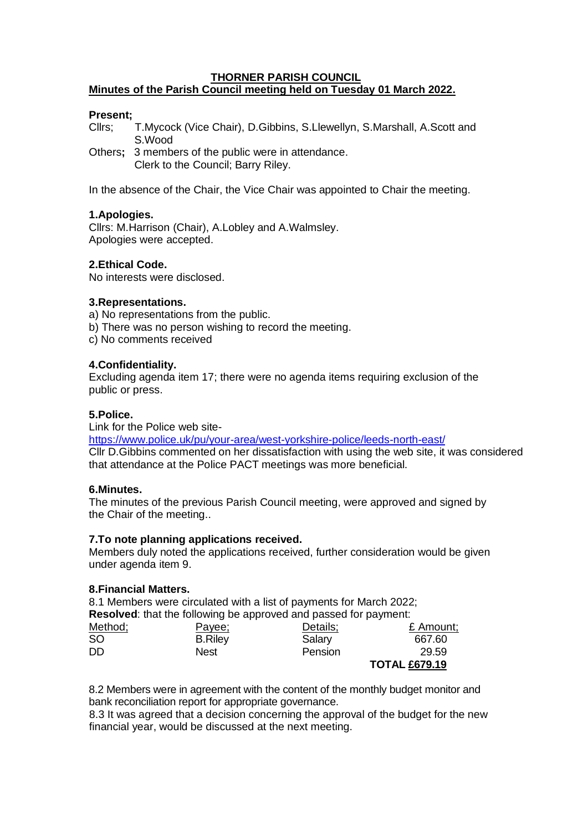### **THORNER PARISH COUNCIL Minutes of the Parish Council meeting held on Tuesday 01 March 2022.**

## **Present;**

Cllrs; T.Mycock (Vice Chair), D.Gibbins, S.Llewellyn, S.Marshall, A.Scott and S.Wood

Others**;** 3 members of the public were in attendance. Clerk to the Council; Barry Riley.

In the absence of the Chair, the Vice Chair was appointed to Chair the meeting.

# **1.Apologies.**

Cllrs: M.Harrison (Chair), A.Lobley and A.Walmsley. Apologies were accepted.

# **2.Ethical Code.**

No interests were disclosed.

## **3.Representations.**

a) No representations from the public.

- b) There was no person wishing to record the meeting.
- c) No comments received

## **4.Confidentiality.**

Excluding agenda item 17; there were no agenda items requiring exclusion of the public or press.

## **5.Police.**

Link for the Police web site-

<https://www.police.uk/pu/your-area/west-yorkshire-police/leeds-north-east/> Cllr D.Gibbins commented on her dissatisfaction with using the web site, it was considered that attendance at the Police PACT meetings was more beneficial.

### **6.Minutes.**

The minutes of the previous Parish Council meeting, were approved and signed by the Chair of the meeting..

### **7.To note planning applications received.**

Members duly noted the applications received, further consideration would be given under agenda item 9.

### **8.Financial Matters.**

8.1 Members were circulated with a list of payments for March 2022; **Resolved**: the following beginning before and payment: the formulation of payment: the payment: the payment: the payment: the payment: the payment of payment: the payment of payment of payment of payment of payment of pay

|         | <b>Resolved:</b> that the following be approved and passed for payment: |          |                      |
|---------|-------------------------------------------------------------------------|----------|----------------------|
| Method; | Payee;                                                                  | Details; | £ Amount;            |
| SΟ      | <b>B.Riley</b>                                                          | Salary   | 667.60               |
| DD      | <b>Nest</b>                                                             | Pension  | 29.59                |
|         |                                                                         |          | <b>TOTAL £679.19</b> |

8.2 Members were in agreement with the content of the monthly budget monitor and bank reconciliation report for appropriate governance.

8.3 It was agreed that a decision concerning the approval of the budget for the new financial year, would be discussed at the next meeting.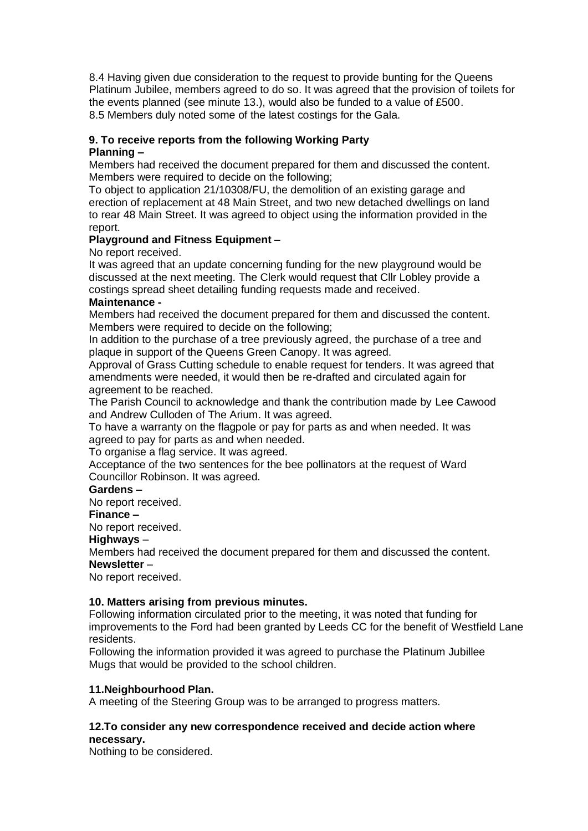8.4 Having given due consideration to the request to provide bunting for the Queens Platinum Jubilee, members agreed to do so. It was agreed that the provision of toilets for the events planned (see minute 13.), would also be funded to a value of £500. 8.5 Members duly noted some of the latest costings for the Gala.

# **9. To receive reports from the following Working Party**

# **Planning –**

Members had received the document prepared for them and discussed the content. Members were required to decide on the following;

To object to application 21/10308/FU, the demolition of an existing garage and erection of replacement at 48 Main Street, and two new detached dwellings on land to rear 48 Main Street. It was agreed to object using the information provided in the report.

# **Playground and Fitness Equipment –**

No report received.

It was agreed that an update concerning funding for the new playground would be discussed at the next meeting. The Clerk would request that Cllr Lobley provide a costings spread sheet detailing funding requests made and received.

# **Maintenance -**

Members had received the document prepared for them and discussed the content. Members were required to decide on the following;

In addition to the purchase of a tree previously agreed, the purchase of a tree and plaque in support of the Queens Green Canopy. It was agreed.

Approval of Grass Cutting schedule to enable request for tenders. It was agreed that amendments were needed, it would then be re-drafted and circulated again for agreement to be reached.

The Parish Council to acknowledge and thank the contribution made by Lee Cawood and Andrew Culloden of The Arium. It was agreed.

To have a warranty on the flagpole or pay for parts as and when needed. It was agreed to pay for parts as and when needed.

To organise a flag service. It was agreed.

Acceptance of the two sentences for the bee pollinators at the request of Ward Councillor Robinson. It was agreed.

# **Gardens –**

No report received.

# **Finance –**

No report received.

# **Highways** –

Members had received the document prepared for them and discussed the content. **Newsletter** –

No report received.

# **10. Matters arising from previous minutes.**

Following information circulated prior to the meeting, it was noted that funding for improvements to the Ford had been granted by Leeds CC for the benefit of Westfield Lane residents.

Following the information provided it was agreed to purchase the Platinum Jubillee Mugs that would be provided to the school children.

# **11.Neighbourhood Plan.**

A meeting of the Steering Group was to be arranged to progress matters.

### **12.To consider any new correspondence received and decide action where necessary.**

Nothing to be considered.